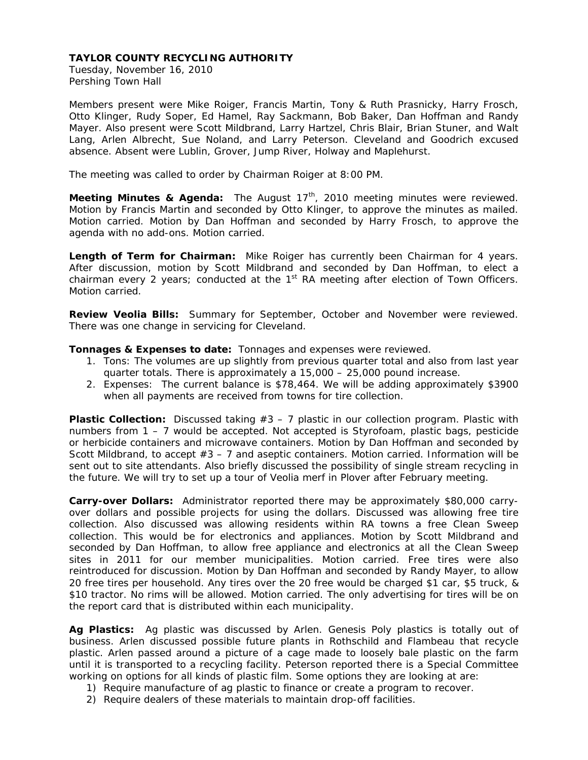Tuesday, November 16, 2010 Pershing Town Hall

Members present were Mike Roiger, Francis Martin, Tony & Ruth Prasnicky, Harry Frosch, Otto Klinger, Rudy Soper, Ed Hamel, Ray Sackmann, Bob Baker, Dan Hoffman and Randy Mayer. Also present were Scott Mildbrand, Larry Hartzel, Chris Blair, Brian Stuner, and Walt Lang, Arlen Albrecht, Sue Noland, and Larry Peterson. Cleveland and Goodrich excused absence. Absent were Lublin, Grover, Jump River, Holway and Maplehurst.

The meeting was called to order by Chairman Roiger at 8:00 PM.

Meeting Minutes & Agenda: The August 17<sup>th</sup>, 2010 meeting minutes were reviewed. Motion by Francis Martin and seconded by Otto Klinger, to approve the minutes as mailed. Motion carried. Motion by Dan Hoffman and seconded by Harry Frosch, to approve the agenda with no add-ons. Motion carried.

**Length of Term for Chairman:** Mike Roiger has currently been Chairman for 4 years. After discussion, motion by Scott Mildbrand and seconded by Dan Hoffman, to elect a chairman every 2 years; conducted at the  $1<sup>st</sup>$  RA meeting after election of Town Officers. Motion carried.

**Review Veolia Bills:** Summary for September, October and November were reviewed. There was one change in servicing for Cleveland.

**Tonnages & Expenses to date:** Tonnages and expenses were reviewed.

- 1. Tons: The volumes are up slightly from previous quarter total and also from last year quarter totals. There is approximately a 15,000 – 25,000 pound increase.
- 2. Expenses: The current balance is \$78,464. We will be adding approximately \$3900 when all payments are received from towns for tire collection.

**Plastic Collection:** Discussed taking #3 – 7 plastic in our collection program. Plastic with numbers from 1 – 7 would be accepted. Not accepted is Styrofoam, plastic bags, pesticide or herbicide containers and microwave containers. Motion by Dan Hoffman and seconded by Scott Mildbrand, to accept  $#3 - 7$  and aseptic containers. Motion carried. Information will be sent out to site attendants. Also briefly discussed the possibility of single stream recycling in the future. We will try to set up a tour of Veolia merf in Plover after February meeting.

**Carry-over Dollars:** Administrator reported there may be approximately \$80,000 carryover dollars and possible projects for using the dollars. Discussed was allowing free tire collection. Also discussed was allowing residents within RA towns a free Clean Sweep collection. This would be for electronics and appliances. Motion by Scott Mildbrand and seconded by Dan Hoffman, to allow free appliance and electronics at all the Clean Sweep sites in 2011 for our member municipalities. Motion carried. Free tires were also reintroduced for discussion. Motion by Dan Hoffman and seconded by Randy Mayer, to allow 20 free tires per household. Any tires over the 20 free would be charged \$1 car, \$5 truck, & \$10 tractor. No rims will be allowed. Motion carried. The only advertising for tires will be on the report card that is distributed within each municipality.

**Ag Plastics:** Ag plastic was discussed by Arlen. Genesis Poly plastics is totally out of business. Arlen discussed possible future plants in Rothschild and Flambeau that recycle plastic. Arlen passed around a picture of a cage made to loosely bale plastic on the farm until it is transported to a recycling facility. Peterson reported there is a Special Committee working on options for all kinds of plastic film. Some options they are looking at are:

- 1) Require manufacture of ag plastic to finance or create a program to recover.
- 2) Require dealers of these materials to maintain drop-off facilities.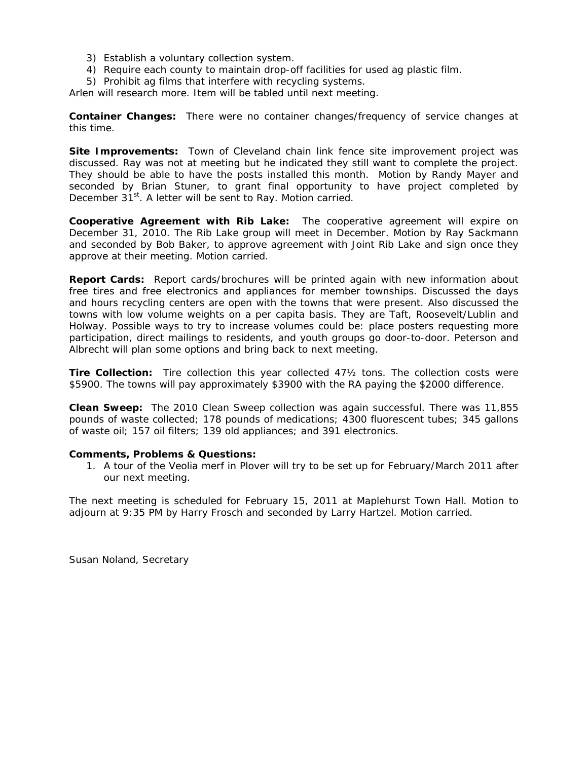- 3) Establish a voluntary collection system.
- 4) Require each county to maintain drop-off facilities for used ag plastic film.
- 5) Prohibit ag films that interfere with recycling systems.

Arlen will research more. Item will be tabled until next meeting.

**Container Changes:** There were no container changes/frequency of service changes at this time.

**Site Improvements:** Town of Cleveland chain link fence site improvement project was discussed. Ray was not at meeting but he indicated they still want to complete the project. They should be able to have the posts installed this month. Motion by Randy Mayer and seconded by Brian Stuner, to grant final opportunity to have project completed by December 31<sup>st</sup>. A letter will be sent to Ray. Motion carried.

**Cooperative Agreement with Rib Lake:** The cooperative agreement will expire on December 31, 2010. The Rib Lake group will meet in December. Motion by Ray Sackmann and seconded by Bob Baker, to approve agreement with Joint Rib Lake and sign once they approve at their meeting. Motion carried.

**Report Cards:** Report cards/brochures will be printed again with new information about free tires and free electronics and appliances for member townships. Discussed the days and hours recycling centers are open with the towns that were present. Also discussed the towns with low volume weights on a per capita basis. They are Taft, Roosevelt/Lublin and Holway. Possible ways to try to increase volumes could be: place posters requesting more participation, direct mailings to residents, and youth groups go door-to-door. Peterson and Albrecht will plan some options and bring back to next meeting.

**Tire Collection:** Tire collection this year collected 47½ tons. The collection costs were \$5900. The towns will pay approximately \$3900 with the RA paying the \$2000 difference.

**Clean Sweep:** The 2010 Clean Sweep collection was again successful. There was 11,855 pounds of waste collected; 178 pounds of medications; 4300 fluorescent tubes; 345 gallons of waste oil; 157 oil filters; 139 old appliances; and 391 electronics.

### **Comments, Problems & Questions:**

1. A tour of the Veolia merf in Plover will try to be set up for February/March 2011 after our next meeting.

The next meeting is scheduled for February 15, 2011 at Maplehurst Town Hall. Motion to adjourn at 9:35 PM by Harry Frosch and seconded by Larry Hartzel. Motion carried.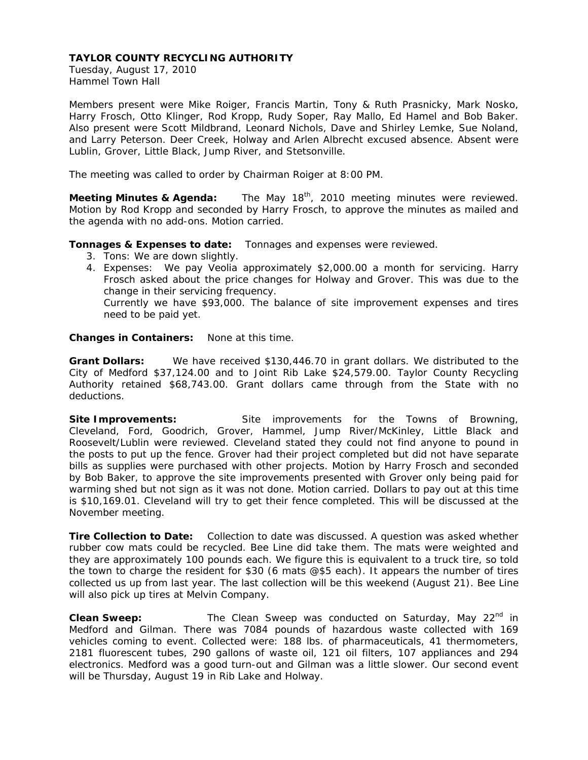Tuesday, August 17, 2010 Hammel Town Hall

Members present were Mike Roiger, Francis Martin, Tony & Ruth Prasnicky, Mark Nosko, Harry Frosch, Otto Klinger, Rod Kropp, Rudy Soper, Ray Mallo, Ed Hamel and Bob Baker. Also present were Scott Mildbrand, Leonard Nichols, Dave and Shirley Lemke, Sue Noland, and Larry Peterson. Deer Creek, Holway and Arlen Albrecht excused absence. Absent were Lublin, Grover, Little Black, Jump River, and Stetsonville.

The meeting was called to order by Chairman Roiger at 8:00 PM.

**Meeting Minutes & Agenda:** The May 18<sup>th</sup>, 2010 meeting minutes were reviewed. Motion by Rod Kropp and seconded by Harry Frosch, to approve the minutes as mailed and the agenda with no add-ons. Motion carried.

### **Tonnages & Expenses to date:** Tonnages and expenses were reviewed.

- 3. Tons: We are down slightly.
- 4. Expenses: We pay Veolia approximately \$2,000.00 a month for servicing. Harry Frosch asked about the price changes for Holway and Grover. This was due to the change in their servicing frequency. Currently we have \$93,000. The balance of site improvement expenses and tires

need to be paid yet.

**Changes in Containers:** None at this time.

**Grant Dollars:** We have received \$130,446.70 in grant dollars. We distributed to the City of Medford \$37,124.00 and to Joint Rib Lake \$24,579.00. Taylor County Recycling Authority retained \$68,743.00. Grant dollars came through from the State with no deductions.

Site Improvements: Site improvements for the Towns of Browning, Cleveland, Ford, Goodrich, Grover, Hammel, Jump River/McKinley, Little Black and Roosevelt/Lublin were reviewed. Cleveland stated they could not find anyone to pound in the posts to put up the fence. Grover had their project completed but did not have separate bills as supplies were purchased with other projects. Motion by Harry Frosch and seconded by Bob Baker, to approve the site improvements presented with Grover only being paid for warming shed but not sign as it was not done. Motion carried. Dollars to pay out at this time is \$10,169.01. Cleveland will try to get their fence completed. This will be discussed at the November meeting.

**Tire Collection to Date:** Collection to date was discussed. A question was asked whether rubber cow mats could be recycled. Bee Line did take them. The mats were weighted and they are approximately 100 pounds each. We figure this is equivalent to a truck tire, so told the town to charge the resident for \$30 (6 mats @\$5 each). It appears the number of tires collected us up from last year. The last collection will be this weekend (August 21). Bee Line will also pick up tires at Melvin Company.

**Clean Sweep:** The Clean Sweep was conducted on Saturday, May 22<sup>nd</sup> in Medford and Gilman. There was 7084 pounds of hazardous waste collected with 169 vehicles coming to event. Collected were: 188 lbs. of pharmaceuticals, 41 thermometers, 2181 fluorescent tubes, 290 gallons of waste oil, 121 oil filters, 107 appliances and 294 electronics. Medford was a good turn-out and Gilman was a little slower. Our second event will be Thursday, August 19 in Rib Lake and Holway.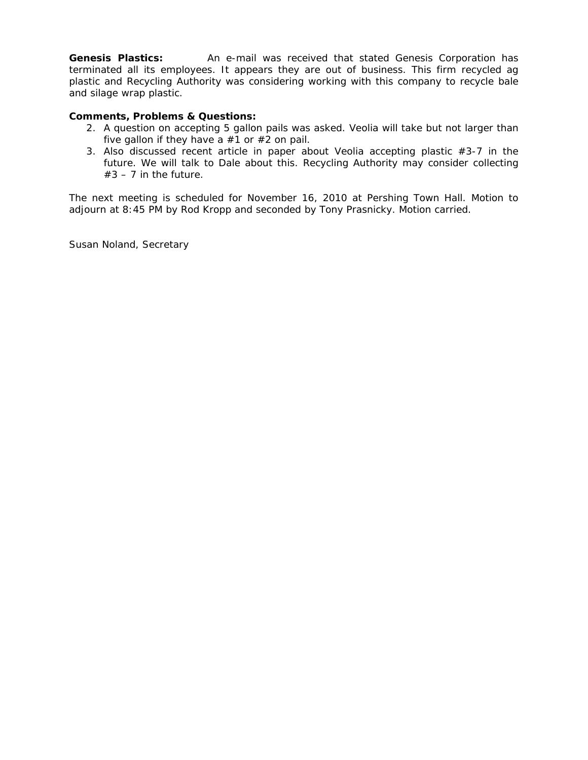**Genesis Plastics:** An e-mail was received that stated Genesis Corporation has terminated all its employees. It appears they are out of business. This firm recycled ag plastic and Recycling Authority was considering working with this company to recycle bale and silage wrap plastic.

# **Comments, Problems & Questions:**

- 2. A question on accepting 5 gallon pails was asked. Veolia will take but not larger than five gallon if they have a  $#1$  or  $#2$  on pail.
- 3. Also discussed recent article in paper about Veolia accepting plastic  $#3-7$  in the future. We will talk to Dale about this. Recycling Authority may consider collecting  $#3 - 7$  in the future.

The next meeting is scheduled for November 16, 2010 at Pershing Town Hall. Motion to adjourn at 8:45 PM by Rod Kropp and seconded by Tony Prasnicky. Motion carried.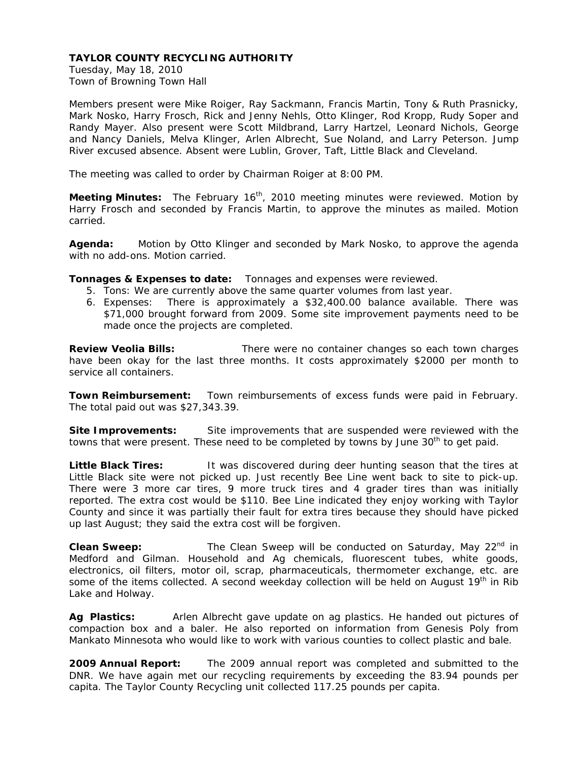Tuesday, May 18, 2010 Town of Browning Town Hall

Members present were Mike Roiger, Ray Sackmann, Francis Martin, Tony & Ruth Prasnicky, Mark Nosko, Harry Frosch, Rick and Jenny Nehls, Otto Klinger, Rod Kropp, Rudy Soper and Randy Mayer. Also present were Scott Mildbrand, Larry Hartzel, Leonard Nichols, George and Nancy Daniels, Melva Klinger, Arlen Albrecht, Sue Noland, and Larry Peterson. Jump River excused absence. Absent were Lublin, Grover, Taft, Little Black and Cleveland.

The meeting was called to order by Chairman Roiger at 8:00 PM.

**Meeting Minutes:** The February 16<sup>th</sup>, 2010 meeting minutes were reviewed. Motion by Harry Frosch and seconded by Francis Martin, to approve the minutes as mailed. Motion carried.

**Agenda:** Motion by Otto Klinger and seconded by Mark Nosko, to approve the agenda with no add-ons. Motion carried.

**Tonnages & Expenses to date:** Tonnages and expenses were reviewed.

- 5. Tons: We are currently above the same quarter volumes from last year.
- 6. Expenses: There is approximately a \$32,400.00 balance available. There was \$71,000 brought forward from 2009. Some site improvement payments need to be made once the projects are completed.

**Review Veolia Bills:** There were no container changes so each town charges have been okay for the last three months. It costs approximately \$2000 per month to service all containers.

**Town Reimbursement:** Town reimbursements of excess funds were paid in February. The total paid out was \$27,343.39.

**Site Improvements:** Site improvements that are suspended were reviewed with the towns that were present. These need to be completed by towns by June 30<sup>th</sup> to get paid.

Little Black Tires: It was discovered during deer hunting season that the tires at Little Black site were not picked up. Just recently Bee Line went back to site to pick-up. There were 3 more car tires, 9 more truck tires and 4 grader tires than was initially reported. The extra cost would be \$110. Bee Line indicated they enjoy working with Taylor County and since it was partially their fault for extra tires because they should have picked up last August; they said the extra cost will be forgiven.

**Clean Sweep:** The Clean Sweep will be conducted on Saturday, May 22<sup>nd</sup> in Medford and Gilman. Household and Ag chemicals, fluorescent tubes, white goods, electronics, oil filters, motor oil, scrap, pharmaceuticals, thermometer exchange, etc. are some of the items collected. A second weekday collection will be held on August  $19<sup>th</sup>$  in Rib Lake and Holway.

**Ag Plastics:** Arlen Albrecht gave update on ag plastics. He handed out pictures of compaction box and a baler. He also reported on information from Genesis Poly from Mankato Minnesota who would like to work with various counties to collect plastic and bale.

**2009 Annual Report:** The 2009 annual report was completed and submitted to the DNR. We have again met our recycling requirements by exceeding the 83.94 pounds per capita. The Taylor County Recycling unit collected 117.25 pounds per capita.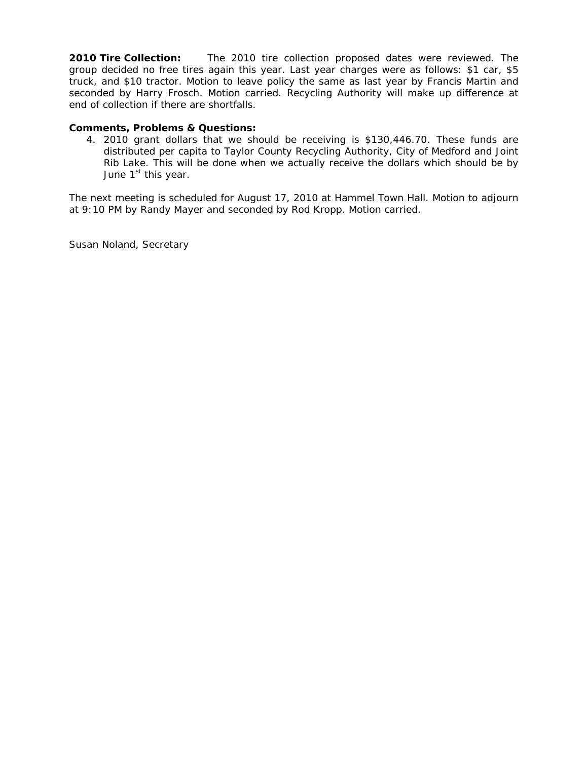**2010 Tire Collection:** The 2010 tire collection proposed dates were reviewed. The group decided no free tires again this year. Last year charges were as follows: \$1 car, \$5 truck, and \$10 tractor. Motion to leave policy the same as last year by Francis Martin and seconded by Harry Frosch. Motion carried. Recycling Authority will make up difference at end of collection if there are shortfalls.

## **Comments, Problems & Questions:**

4. 2010 grant dollars that we should be receiving is \$130,446.70. These funds are distributed per capita to Taylor County Recycling Authority, City of Medford and Joint Rib Lake. This will be done when we actually receive the dollars which should be by June 1<sup>st</sup> this year.

The next meeting is scheduled for August 17, 2010 at Hammel Town Hall. Motion to adjourn at 9:10 PM by Randy Mayer and seconded by Rod Kropp. Motion carried.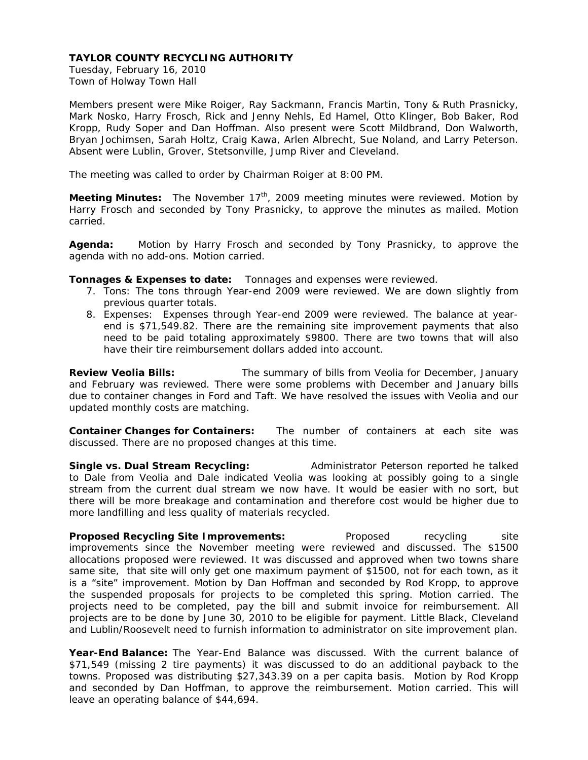Tuesday, February 16, 2010 Town of Holway Town Hall

Members present were Mike Roiger, Ray Sackmann, Francis Martin, Tony & Ruth Prasnicky, Mark Nosko, Harry Frosch, Rick and Jenny Nehls, Ed Hamel, Otto Klinger, Bob Baker, Rod Kropp, Rudy Soper and Dan Hoffman. Also present were Scott Mildbrand, Don Walworth, Bryan Jochimsen, Sarah Holtz, Craig Kawa, Arlen Albrecht, Sue Noland, and Larry Peterson. Absent were Lublin, Grover, Stetsonville, Jump River and Cleveland.

The meeting was called to order by Chairman Roiger at 8:00 PM.

**Meeting Minutes:** The November 17<sup>th</sup>, 2009 meeting minutes were reviewed. Motion by Harry Frosch and seconded by Tony Prasnicky, to approve the minutes as mailed. Motion carried.

**Agenda:** Motion by Harry Frosch and seconded by Tony Prasnicky, to approve the agenda with no add-ons. Motion carried.

**Tonnages & Expenses to date:** Tonnages and expenses were reviewed.

- 7. Tons: The tons through Year-end 2009 were reviewed. We are down slightly from previous quarter totals.
- 8. Expenses: Expenses through Year-end 2009 were reviewed. The balance at yearend is \$71,549.82. There are the remaining site improvement payments that also need to be paid totaling approximately \$9800. There are two towns that will also have their tire reimbursement dollars added into account.

**Review Veolia Bills:** The summary of bills from Veolia for December, January and February was reviewed. There were some problems with December and January bills due to container changes in Ford and Taft. We have resolved the issues with Veolia and our updated monthly costs are matching.

**Container Changes for Containers:** The number of containers at each site was discussed. There are no proposed changes at this time.

**Single vs. Dual Stream Recycling:** Administrator Peterson reported he talked to Dale from Veolia and Dale indicated Veolia was looking at possibly going to a single stream from the current dual stream we now have. It would be easier with no sort, but there will be more breakage and contamination and therefore cost would be higher due to more landfilling and less quality of materials recycled.

**Proposed Recycling Site Improvements:** Proposed recycling site improvements since the November meeting were reviewed and discussed. The \$1500 allocations proposed were reviewed. It was discussed and approved when two towns share same site, that site will only get one maximum payment of \$1500, not for each town, as it is a "site" improvement. Motion by Dan Hoffman and seconded by Rod Kropp, to approve the suspended proposals for projects to be completed this spring. Motion carried. The projects need to be completed, pay the bill and submit invoice for reimbursement. All projects are to be done by June 30, 2010 to be eligible for payment. Little Black, Cleveland and Lublin/Roosevelt need to furnish information to administrator on site improvement plan.

**Year-End Balance:** The Year-End Balance was discussed. With the current balance of \$71,549 (missing 2 tire payments) it was discussed to do an additional payback to the towns. Proposed was distributing \$27,343.39 on a per capita basis. Motion by Rod Kropp and seconded by Dan Hoffman, to approve the reimbursement. Motion carried. This will leave an operating balance of \$44,694.